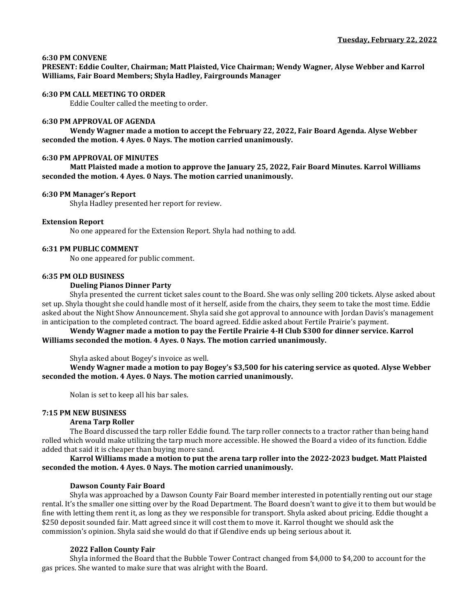### **6:30 PM CONVENE**

**PRESENT: Eddie Coulter, Chairman; Matt Plaisted, Vice Chairman; Wendy Wagner, Alyse Webber and Karrol Williams, Fair Board Members; Shyla Hadley, Fairgrounds Manager**

## **6:30 PM CALL MEETING TO ORDER**

Eddie Coulter called the meeting to order.

### **6:30 PM APPROVAL OF AGENDA**

**Wendy Wagner made a motion to accept the February 22, 2022, Fair Board Agenda. Alyse Webber seconded the motion. 4 Ayes. 0 Nays. The motion carried unanimously.** 

### **6:30 PM APPROVAL OF MINUTES**

**Matt Plaisted made a motion to approve the January 25, 2022, Fair Board Minutes. Karrol Williams seconded the motion. 4 Ayes. 0 Nays. The motion carried unanimously.**

## **6:30 PM Manager's Report**

Shyla Hadley presented her report for review.

## **Extension Report**

No one appeared for the Extension Report. Shyla had nothing to add.

## **6:31 PM PUBLIC COMMENT**

No one appeared for public comment.

#### **6:35 PM OLD BUSINESS**

## **Dueling Pianos Dinner Party**

Shyla presented the current ticket sales count to the Board. She was only selling 200 tickets. Alyse asked about set up. Shyla thought she could handle most of it herself, aside from the chairs, they seem to take the most time. Eddie asked about the Night Show Announcement. Shyla said she got approval to announce with Jordan Davis's management in anticipation to the completed contract. The board agreed. Eddie asked about Fertile Prairie's payment.

**Wendy Wagner made a motion to pay the Fertile Prairie 4-H Club \$300 for dinner service. Karrol Williams seconded the motion. 4 Ayes. 0 Nays. The motion carried unanimously.**

Shyla asked about Bogey's invoice as well.

**Wendy Wagner made a motion to pay Bogey's \$3,500 for his catering service as quoted. Alyse Webber seconded the motion. 4 Ayes. 0 Nays. The motion carried unanimously.**

Nolan is set to keep all his bar sales.

# **7:15 PM NEW BUSINESS**

### **Arena Tarp Roller**

The Board discussed the tarp roller Eddie found. The tarp roller connects to a tractor rather than being hand rolled which would make utilizing the tarp much more accessible. He showed the Board a video of its function. Eddie added that said it is cheaper than buying more sand.

**Karrol Williams made a motion to put the arena tarp roller into the 2022-2023 budget. Matt Plaisted seconded the motion. 4 Ayes. 0 Nays. The motion carried unanimously.**

#### **Dawson County Fair Board**

Shyla was approached by a Dawson County Fair Board member interested in potentially renting out our stage rental. It's the smaller one sitting over by the Road Department. The Board doesn't want to give it to them but would be fine with letting them rent it, as long as they we responsible for transport. Shyla asked about pricing. Eddie thought a \$250 deposit sounded fair. Matt agreed since it will cost them to move it. Karrol thought we should ask the commission's opinion. Shyla said she would do that if Glendive ends up being serious about it.

# **2022 Fallon County Fair**

Shyla informed the Board that the Bubble Tower Contract changed from \$4,000 to \$4,200 to account for the gas prices. She wanted to make sure that was alright with the Board.